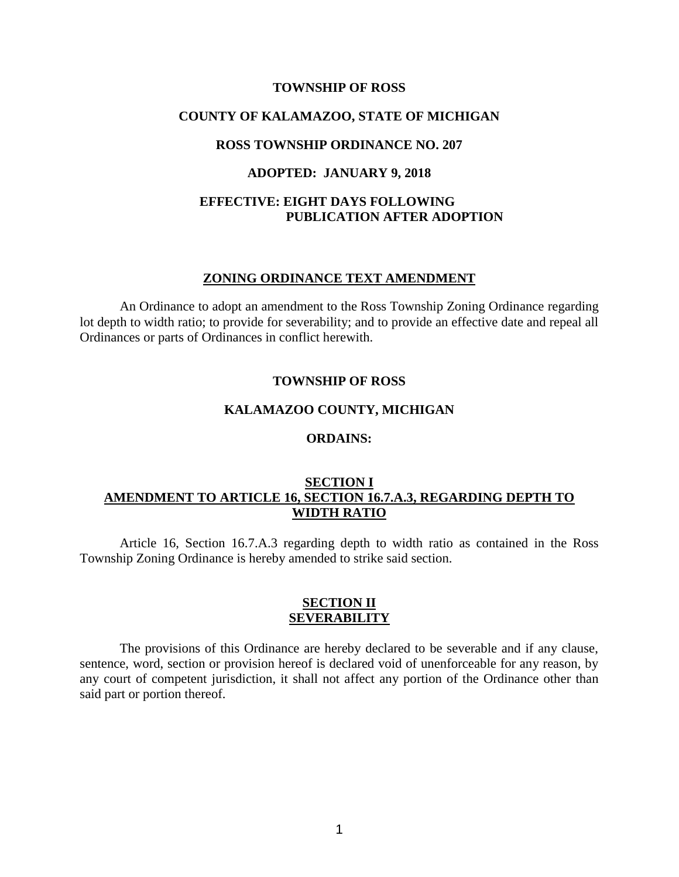#### **TOWNSHIP OF ROSS**

#### **COUNTY OF KALAMAZOO, STATE OF MICHIGAN**

### **ROSS TOWNSHIP ORDINANCE NO. 207**

#### **ADOPTED: JANUARY 9, 2018**

## **EFFECTIVE: EIGHT DAYS FOLLOWING PUBLICATION AFTER ADOPTION**

#### **ZONING ORDINANCE TEXT AMENDMENT**

An Ordinance to adopt an amendment to the Ross Township Zoning Ordinance regarding lot depth to width ratio; to provide for severability; and to provide an effective date and repeal all Ordinances or parts of Ordinances in conflict herewith.

#### **TOWNSHIP OF ROSS**

# **KALAMAZOO COUNTY, MICHIGAN**

### **ORDAINS:**

### **SECTION I AMENDMENT TO ARTICLE 16, SECTION 16.7.A.3, REGARDING DEPTH TO WIDTH RATIO**

Article 16, Section 16.7.A.3 regarding depth to width ratio as contained in the Ross Township Zoning Ordinance is hereby amended to strike said section.

#### **SECTION II SEVERABILITY**

The provisions of this Ordinance are hereby declared to be severable and if any clause, sentence, word, section or provision hereof is declared void of unenforceable for any reason, by any court of competent jurisdiction, it shall not affect any portion of the Ordinance other than said part or portion thereof.